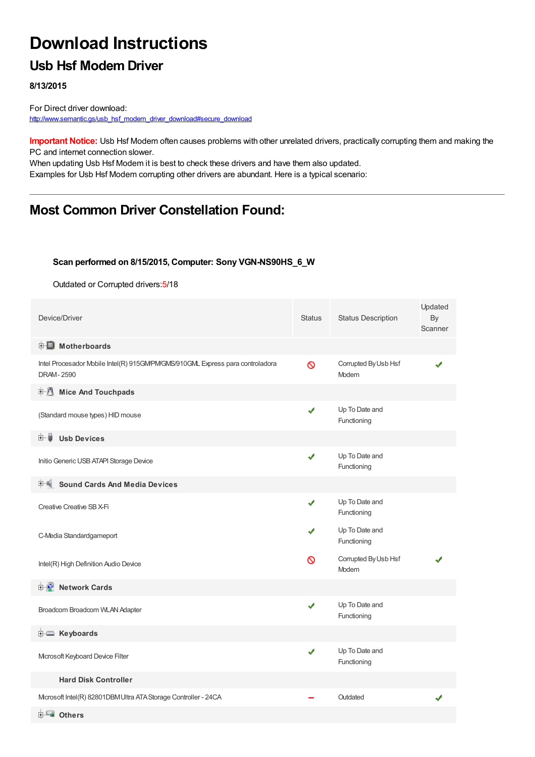# **Download Instructions**

### **Usb Hsf Modem Driver**

**8/13/2015**

For Direct driver download: [http://www.semantic.gs/usb\\_hsf\\_modem\\_driver\\_download#secure\\_download](http://www.semantic.gs/usb_hsf_modem_driver_download#secure_download)

**Important Notice:** Usb Hsf Modem often causes problems with other unrelated drivers, practically corrupting them and making the PC and internet connection slower.

When updating Usb Hsf Modem it is best to check these drivers and have them also updated. Examples for Usb Hsf Modem corrupting other drivers are abundant. Here is a typical scenario:

### **Most Common Driver Constellation Found:**

#### **Scan performed on 8/15/2015, Computer: Sony VGN-NS90HS\_6\_W**

Outdated or Corrupted drivers:5/18

| Device/Driver                                                                                    | <b>Status</b> | <b>Status Description</b>     | Updated<br>By<br>Scanner |
|--------------------------------------------------------------------------------------------------|---------------|-------------------------------|--------------------------|
| <b>E</b> Motherboards                                                                            |               |                               |                          |
| Intel Procesador Mobile Intel(R) 915GWPWGMS/910GML Express para controladora<br><b>DRAM-2590</b> | $\infty$      | Corrupted By Usb Hsf<br>Modem |                          |
| <b>E</b> Mice And Touchpads                                                                      |               |                               |                          |
| (Standard mouse types) HID mouse                                                                 | ✔             | Up To Date and<br>Functioning |                          |
| <b>Usb Devices</b><br>⊞… ■                                                                       |               |                               |                          |
| Initio Generic USB ATAPI Storage Device                                                          | ✔             | Up To Date and<br>Functioning |                          |
| <b>Sound Cards And Media Devices</b>                                                             |               |                               |                          |
| Creative Creative SB X-Fi                                                                        | ✔             | Up To Date and<br>Functioning |                          |
| C-Media Standardgameport                                                                         |               | Up To Date and<br>Functioning |                          |
| Intel(R) High Definition Audio Device                                                            | ര             | Corrupted By Usb Hsf<br>Modem |                          |
| <b>Network Cards</b>                                                                             |               |                               |                          |
| Broadcom Broadcom WLAN Adapter                                                                   | $\checkmark$  | Up To Date and<br>Functioning |                          |
| <b>E</b> Keyboards                                                                               |               |                               |                          |
| Mcrosoft Keyboard Device Filter                                                                  | ✔             | Up To Date and<br>Functioning |                          |
| <b>Hard Disk Controller</b>                                                                      |               |                               |                          |
| Mcrosoft Intel(R) 82801DBM Ultra ATA Storage Controller - 24CA                                   |               | Outdated                      |                          |
| <b>ELECTE</b> Others                                                                             |               |                               |                          |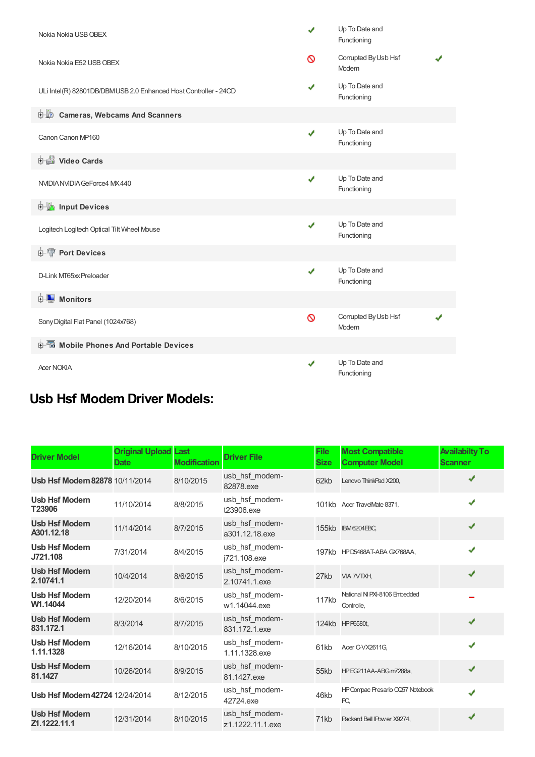| Nokia Nokia USB OBEX                                            |   | Up To Date and<br>Functioning |  |  |  |  |  |
|-----------------------------------------------------------------|---|-------------------------------|--|--|--|--|--|
| Nokia Nokia E52 USB OBEX                                        | ⊚ | Corrupted By Usb Hsf<br>Modem |  |  |  |  |  |
| ULi Intel(R) 82801DB/DBMUSB 2.0 Enhanced Host Controller - 24CD |   | Up To Date and<br>Functioning |  |  |  |  |  |
| <b>D</b> Cameras, Webcams And Scanners                          |   |                               |  |  |  |  |  |
| Canon Canon MP160                                               | ✔ | Up To Date and<br>Functioning |  |  |  |  |  |
| Video Cards                                                     |   |                               |  |  |  |  |  |
| NVIDIA NVIDIA GeForce4 MX 440                                   | J | Up To Date and<br>Functioning |  |  |  |  |  |
| <b>E</b> Input Devices                                          |   |                               |  |  |  |  |  |
| Logitech Logitech Optical Tilt Wheel Mouse                      | ✔ | Up To Date and<br>Functioning |  |  |  |  |  |
| <b>E-19 Port Devices</b>                                        |   |                               |  |  |  |  |  |
| D-Link MT65xx Preloader                                         | ✔ | Up To Date and<br>Functioning |  |  |  |  |  |
| <b>E</b> Monitors                                               |   |                               |  |  |  |  |  |
| Sony Digital Flat Panel (1024x768)                              | Ø | Corrupted By Usb Hsf<br>Modem |  |  |  |  |  |
| <b>E-6</b> Mobile Phones And Portable Devices                   |   |                               |  |  |  |  |  |
| <b>Acer NOKIA</b>                                               | J | Up To Date and<br>Functioning |  |  |  |  |  |

## **Usb Hsf Modem Driver Models:**

| <b>Driver Model</b>                  | <b>Original Upload Last</b><br><b>Date</b> | <b>Modification</b> | <b>Driver File</b>                 | <b>File</b><br><b>Size</b> | <b>Most Compatible</b><br><b>Computer Model</b> | <b>Availabilty To</b><br><b>Scanner</b> |
|--------------------------------------|--------------------------------------------|---------------------|------------------------------------|----------------------------|-------------------------------------------------|-----------------------------------------|
| Usb Hsf Modem 82878 10/11/2014       |                                            | 8/10/2015           | usb hsf modem-<br>82878.exe        | 62kb                       | Lenovo ThinkPad X200,                           | ✔                                       |
| <b>Usb Hsf Modem</b><br>T23906       | 11/10/2014                                 | 8/8/2015            | usb_hsf_modem-<br>t23906.exe       |                            | 101kb Acer TravelMate 8371,                     | ✔                                       |
| <b>Usb Hsf Modem</b><br>A301.12.18   | 11/14/2014                                 | 8/7/2015            | usb_hsf_modem-<br>a301.12.18.exe   |                            | 155kb IBM6204EBC.                               | ✔                                       |
| <b>Usb Hsf Modem</b><br>J721.108     | 7/31/2014                                  | 8/4/2015            | usb hsf modem-<br>j721.108.exe     |                            | 197kb HPD5468AT-ABA GX768AA,                    | ✔                                       |
| <b>Usb Hsf Modem</b><br>2.10741.1    | 10/4/2014                                  | 8/6/2015            | usb hsf modem-<br>2.10741.1.exe    | 27kb                       | <b>VIA 7VTXH</b>                                | ✔                                       |
| <b>Usb Hsf Modem</b><br>W1.14044     | 12/20/2014                                 | 8/6/2015            | usb_hsf_modem-<br>w1.14044.exe     | 117kb                      | National NI PXI-8106 Embedded<br>Controlle.     |                                         |
| <b>Usb Hsf Modem</b><br>831.172.1    | 8/3/2014                                   | 8/7/2015            | usb hsf modem-<br>831.172.1.exe    |                            | 124kb HPP6580t,                                 | ✔                                       |
| <b>Usb Hsf Modem</b><br>1.11.1328    | 12/16/2014                                 | 8/10/2015           | usb hsf modem-<br>1.11.1328.exe    | 61kb                       | Acer C-VX2611G,                                 | ✔                                       |
| <b>Usb Hsf Modem</b><br>81.1427      | 10/26/2014                                 | 8/9/2015            | usb hsf modem-<br>81.1427.exe      | 55kb                       | HPEG211AA-ABG m7288a.                           | ✔                                       |
| Usb Hsf Modem 42724 12/24/2014       |                                            | 8/12/2015           | usb hsf modem-<br>42724.exe        | 46kb                       | HP Compac Presario CQ57 Notebook<br>PC.         | ✔                                       |
| <b>Usb Hsf Modem</b><br>Z1.1222.11.1 | 12/31/2014                                 | 8/10/2015           | usb_hsf_modem-<br>z1.1222.11.1.exe | 71kb                       | Packard Bell IPower X9274,                      | ✔                                       |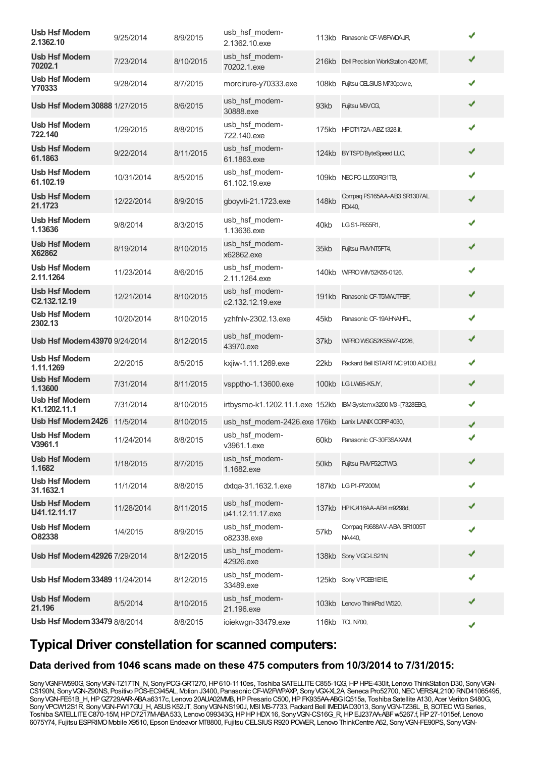| <b>Usb Hsf Modem</b><br>2.1362.10    | 9/25/2014  | 8/9/2015  | usb_hsf_modem-<br>2.1362.10.exe                             |              | 113kb Panasonic CF-W8FWDAJR,             |   |
|--------------------------------------|------------|-----------|-------------------------------------------------------------|--------------|------------------------------------------|---|
| <b>Usb Hsf Modem</b><br>70202.1      | 7/23/2014  | 8/10/2015 | usb hsf modem-<br>70202.1.exe                               |              | 216kb Dell Precision WorkStation 420 MT, | ✔ |
| <b>Usb Hsf Modem</b><br>Y70333       | 9/28/2014  | 8/7/2015  | morcirure-y70333.exe                                        |              | 108kb Fujitsu CELSIUS M730powe,          | ✔ |
| <b>Usb Hsf Modem 30888 1/27/2015</b> |            | 8/6/2015  | usb_hsf_modem-<br>30888.exe                                 | 93kb         | Fujitsu M6VCG,                           | ✔ |
| <b>Usb Hsf Modem</b><br>722.140      | 1/29/2015  | 8/8/2015  | usb_hsf_modem-<br>722.140.exe                               |              | 175kb HPDT172A-ABZ t328.it,              | ✔ |
| <b>Usb Hsf Modem</b><br>61.1863      | 9/22/2014  | 8/11/2015 | usb_hsf_modem-<br>61.1863.exe                               |              | 124kb BYTSPD ByteSpeed LLC,              | ✔ |
| <b>Usb Hsf Modem</b><br>61.102.19    | 10/31/2014 | 8/5/2015  | usb_hsf_modem-<br>61.102.19.exe                             |              | 109kb NEC PC-LL550RG1TB,                 | ✔ |
| <b>Usb Hsf Modem</b><br>21.1723      | 12/22/2014 | 8/9/2015  | gboyvti-21.1723.exe                                         | <b>148kb</b> | Compag PS165AA-AB3 SR1307AL<br>FD440,    | ✔ |
| <b>Usb Hsf Modem</b><br>1.13636      | 9/8/2014   | 8/3/2015  | usb hsf modem-<br>1.13636.exe                               | 40kb         | LG S1-P655R1,                            | ✔ |
| <b>Usb Hsf Modem</b><br>X62862       | 8/19/2014  | 8/10/2015 | usb_hsf_modem-<br>x62862.exe                                | 35kb         | Fujitsu FM/NT5FT4,                       | ✔ |
| <b>Usb Hsf Modem</b><br>2.11.1264    | 11/23/2014 | 8/6/2015  | usb hsf modem-<br>2.11.1264.exe                             |              | 140kb WIFRO WIV52K55-0126,               | ✔ |
| <b>Usb Hsf Modem</b><br>C2.132.12.19 | 12/21/2014 | 8/10/2015 | usb_hsf_modem-<br>c2.132.12.19.exe                          |              | 191kb Panasonic CF-T5MWJTFBF,            | ✔ |
| <b>Usb Hsf Modem</b><br>2302.13      | 10/20/2014 | 8/10/2015 | yzhfnlv-2302.13.exe                                         | 45kb         | Panasonic CF-19AHNAHFL,                  | ✔ |
| Usb Hsf Modem 43970 9/24/2014        |            | 8/12/2015 | usb_hsf_modem-<br>43970.exe                                 | 37kb         | WIFRO WSG52K55W7-0226,                   | ✔ |
| <b>Usb Hsf Modem</b><br>1.11.1269    | 2/2/2015   | 8/5/2015  | kxjiw-1.11.1269.exe                                         | 22kb         | Packard Bell ISTART MC 9100 AIO EU,      | ✔ |
| <b>Usb Hsf Modem</b><br>1.13600      | 7/31/2014  | 8/11/2015 | vspptho-1.13600.exe                                         |              | 100kb LGLW65-K5JY,                       | ✔ |
| <b>Usb Hsf Modem</b><br>K1.1202.11.1 | 7/31/2014  | 8/10/2015 | irtbysmo-k1.1202.11.1.exe 152kb IBMSystemx3200 MB-[7328EBG, |              |                                          | ✔ |
| Usb Hsf Modem 2426 11/5/2014         |            | 8/10/2015 | usb hsf modem-2426.exe 176kb Lanix LANIX CORP 4030,         |              |                                          | ✔ |
| <b>Usb Hsf Modem</b><br>V3961.1      | 11/24/2014 | 8/8/2015  | usb hsf modem-<br>v3961.1.exe                               | 60kb         | Panasonic CF-30F3SAXAM                   | ✔ |
| <b>Usb Hsf Modem</b><br>1.1682       | 1/18/2015  | 8/7/2015  | usb_hsf_modem-<br>1.1682.exe                                | 50kb         | Fujitsu FMVF52CTWG,                      | ✔ |
| <b>Usb Hsf Modem</b><br>31.1632.1    | 11/1/2014  | 8/8/2015  | dxtga-31.1632.1.exe                                         |              | 187kb LGP1-P7200M                        | ✔ |
| <b>Usb Hsf Modem</b><br>U41.12.11.17 | 11/28/2014 | 8/11/2015 | usb_hsf_modem-<br>u41.12.11.17.exe                          |              | 137kb HPKJ416AA-AB4 m9298d,              | ✔ |
| <b>Usb Hsf Modem</b><br>O82338       | 1/4/2015   | 8/9/2015  | usb_hsf_modem-<br>o82338.exe                                | 57kb         | Compaq PJ688AV-ABA SR1005T<br>NA440,     | ✔ |
| Usb Hsf Modem 42926 7/29/2014        |            | 8/12/2015 | usb_hsf_modem-<br>42926.exe                                 |              | 138kb Sony VGC-LS21N,                    | ✔ |
| Usb Hsf Modem 33489 11/24/2014       |            | 8/12/2015 | usb_hsf_modem-<br>33489.exe                                 |              | 125kb Sony VPCEB1E1E,                    | ✔ |
| <b>Usb Hsf Modem</b><br>21.196       | 8/5/2014   | 8/10/2015 | usb_hsf_modem-<br>21.196.exe                                |              | 103kb Lenovo ThinkPad W520,              | ✔ |
| Usb Hsf Modem 33479 8/8/2014         |            | 8/8/2015  | ioiekwgn-33479.exe                                          |              | 116kb TCL N700,                          | ✔ |

### **Typical Driver constellation for scanned computers:**

#### **Data derived from 1046 scans made on these 475 computers from 10/3/2014 to 7/31/2015:**

Sony VGNFW590G, Sony VGN-TZ17TN\_N, Sony PCG-GRT270, HP610-1110es, Toshiba SATELLITE C855-1QG, HP HPE-430it, Lenovo ThinkStation D30, Sony VGN-CS190N, Sony VGN-Z90NS, Positivo POS-EC945AL, Motion J3400, Panasonic CF-W2FWPAXP, Sony VGX-XL2A, Seneca Pro52700, NEC VERSAL2100 RND41065495, Sony VGN-FE51B\_H, HP GZ729AAR-ABA a6317c, Lenovo 20AUA02MMB, HP Presario C500, HP FK935AA-ABG IQ515a, Toshiba Satellite A130, Acer Veriton S480G, SonyVPCW12S1R, SonyVGN-FW17GU\_H, ASUSK52JT, SonyVGN-NS190J, MSI MS-7733, Packard Bell IMEDIAD3013, SonyVGN-TZ36L\_B, SOTEC WGSeries, Toshiba SATELLITE C870-15M, HP D7217M-ABA 533, Lenovo 099343G, HP HP HDX 16, Sony VGN-CS16G\_R, HP EJ237AA-ABF w5267.f, HP 27-1015ef, Lenovo 6075Y74, Fujitsu ESPRIMOMobile X9510, Epson Endeavor MT8800, Fujitsu CELSIUSR920 POWER, Lenovo ThinkCentre A62, SonyVGN-FE90PS, SonyVGN-